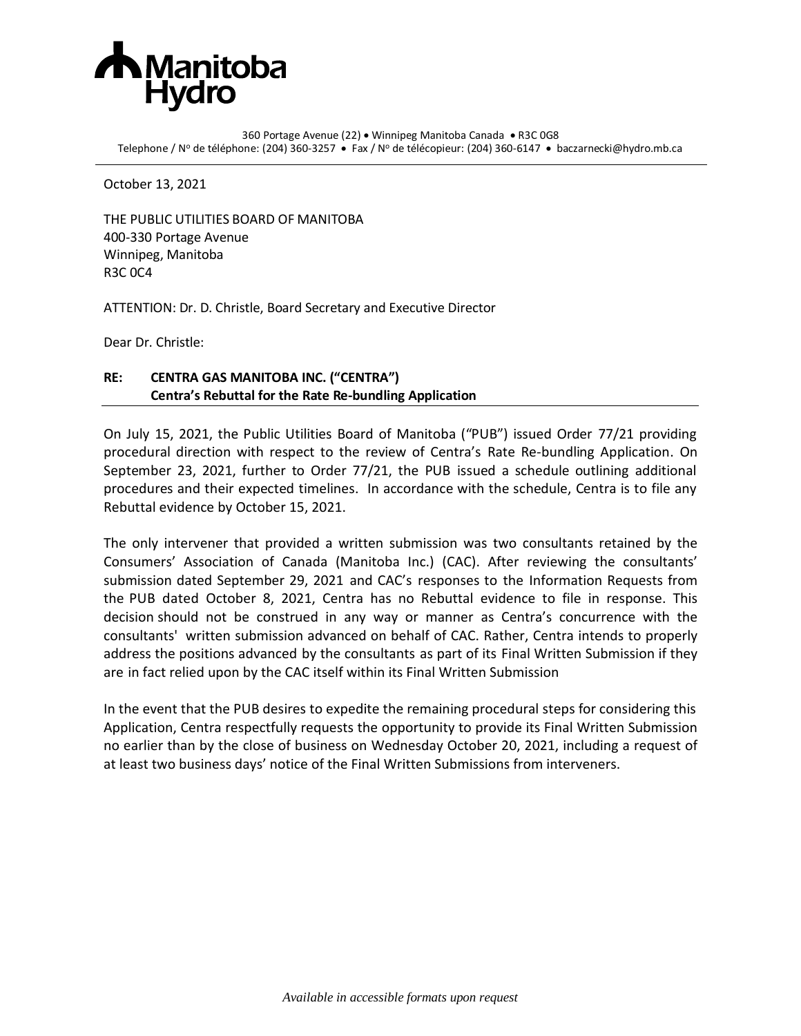

360 Portage Avenue (22) • Winnipeg Manitoba Canada • R3C 0G8 Telephone / Nº de téléphone: (204) 360-3257 • Fax / Nº de télécopieur: (204) 360-6147 • baczarnecki@hydro.mb.ca

October 13, 2021

THE PUBLIC UTILITIES BOARD OF MANITOBA 400-330 Portage Avenue Winnipeg, Manitoba R3C 0C4

ATTENTION: Dr. D. Christle, Board Secretary and Executive Director

Dear Dr. Christle:

## **RE: CENTRA GAS MANITOBA INC. ("CENTRA") Centra's Rebuttal for the Rate Re-bundling Application**

On July 15, 2021, the Public Utilities Board of Manitoba ("PUB") issued Order 77/21 providing procedural direction with respect to the review of Centra's Rate Re-bundling Application. On September 23, 2021, further to Order 77/21, the PUB issued a schedule outlining additional procedures and their expected timelines. In accordance with the schedule, Centra is to file any Rebuttal evidence by October 15, 2021.

The only intervener that provided a written submission was two consultants retained by the Consumers' Association of Canada (Manitoba Inc.) (CAC). After reviewing the consultants' submission dated September 29, 2021 and CAC's responses to the Information Requests from the PUB dated October 8, 2021, Centra has no Rebuttal evidence to file in response. This decision should not be construed in any way or manner as Centra's concurrence with the consultants' written submission advanced on behalf of CAC. Rather, Centra intends to properly address the positions advanced by the consultants as part of its Final Written Submission if they are in fact relied upon by the CAC itself within its Final Written Submission

In the event that the PUB desires to expedite the remaining procedural steps for considering this Application, Centra respectfully requests the opportunity to provide its Final Written Submission no earlier than by the close of business on Wednesday October 20, 2021, including a request of at least two business days' notice of the Final Written Submissions from interveners.